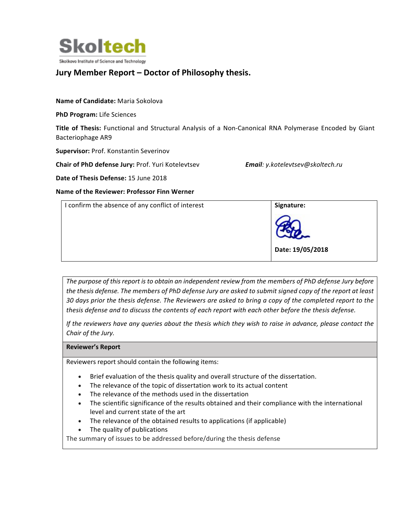

# **Jury Member Report – Doctor of Philosophy thesis.**

#### **Name of Candidate:** Maria Sokolova

**PhD Program:** Life Sciences

**Title of Thesis:** Functional and Structural Analysis of a Non-Canonical RNA Polymerase Encoded by Giant Bacteriophage AR9

**Supervisor: Prof. Konstantin Severinov** 

**Chair of PhD defense Jury:** Prof. Yuri Kotelevtsev *Email: y.kotelevtsev@skoltech.ru* 

**Date of Thesis Defense:** 15 June 2018

**Name of the Reviewer: Professor Finn Werner**

| I confirm the absence of any conflict of interest | Signature:       |
|---------------------------------------------------|------------------|
|                                                   | Date: 19/05/2018 |
|                                                   |                  |

The purpose of this report is to obtain an independent review from the members of PhD defense Jury before *the thesis defense. The members of PhD defense Jury are asked to submit signed copy of the report at least* 30 days prior the thesis defense. The Reviewers are asked to bring a copy of the completed report to the *thesis* defense and to discuss the contents of each report with each other before the thesis defense.

*If* the reviewers have any queries about the thesis which they wish to raise in advance, please contact the *Chair of the Jury.*

**Reviewer's Report**

Reviewers report should contain the following items:

- Brief evaluation of the thesis quality and overall structure of the dissertation.
- The relevance of the topic of dissertation work to its actual content
- The relevance of the methods used in the dissertation
- The scientific significance of the results obtained and their compliance with the international level and current state of the art
- The relevance of the obtained results to applications (if applicable)
- The quality of publications

The summary of issues to be addressed before/during the thesis defense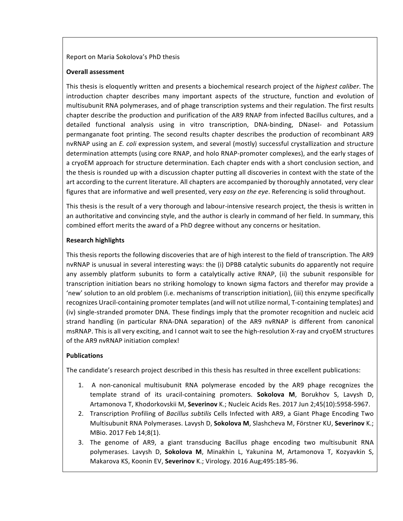#### Report on Maria Sokolova's PhD thesis

#### **Overall assessment**

This thesis is eloquently written and presents a biochemical research project of the *highest caliber*. The introduction chapter describes many important aspects of the structure, function and evolution of multisubunit RNA polymerases, and of phage transcription systems and their regulation. The first results chapter describe the production and purification of the AR9 RNAP from infected Bacillus cultures, and a detailed functional analysis using in vitro transcription, DNA-binding, DNasel- and Potassium permanganate foot printing. The second results chapter describes the production of recombinant AR9 nvRNAP using an *E. coli* expression system, and several (mostly) successful crystallization and structure determination attempts (using core RNAP, and holo RNAP-promoter complexes), and the early stages of a cryoEM approach for structure determination. Each chapter ends with a short conclusion section, and the thesis is rounded up with a discussion chapter putting all discoveries in context with the state of the art according to the current literature. All chapters are accompanied by thoroughly annotated, very clear figures that are informative and well presented, very easy on the eye. Referencing is solid throughout.

This thesis is the result of a very thorough and labour-intensive research project, the thesis is written in an authoritative and convincing style, and the author is clearly in command of her field. In summary, this combined effort merits the award of a PhD degree without any concerns or hesitation.

#### **Research highlights**

This thesis reports the following discoveries that are of high interest to the field of transcription. The AR9 nvRNAP is unusual in several interesting ways: the (i) DPBB catalytic subunits do apparently not require any assembly platform subunits to form a catalytically active RNAP, (ii) the subunit responsible for transcription initiation bears no striking homology to known sigma factors and therefor may provide a 'new' solution to an old problem (i.e. mechanisms of transcription initiation), (iii) this enzyme specifically recognizes Uracil-containing promoter templates (and will not utilize normal, T-containing templates) and (iv) single-stranded promoter DNA. These findings imply that the promoter recognition and nucleic acid strand handling (in particular RNA-DNA separation) of the AR9 nvRNAP is different from canonical msRNAP. This is all very exciting, and I cannot wait to see the high-resolution X-ray and cryoEM structures of the AR9 nvRNAP initiation complex!

## **Publications**

The candidate's research project described in this thesis has resulted in three excellent publications:

- 1. A non-canonical multisubunit RNA polymerase encoded by the AR9 phage recognizes the template strand of its uracil-containing promoters. **Sokolova M**, Borukhov S, Lavysh D, Artamonova T, Khodorkovskii M, Severinov K.; Nucleic Acids Res. 2017 Jun 2;45(10):5958-5967.
- 2. Transcription Profiling of *Bacillus subtilis* Cells Infected with AR9, a Giant Phage Encoding Two Multisubunit RNA Polymerases. Lavysh D, Sokolova M, Slashcheva M, Förstner KU, Severinov K.; MBio. 2017 Feb 14;8(1).
- 3. The genome of AR9, a giant transducing Bacillus phage encoding two multisubunit RNA polymerases. Lavysh D, Sokolova M, Minakhin L, Yakunina M, Artamonova T, Kozyavkin S, Makarova KS, Koonin EV, Severinov K.; Virology. 2016 Aug;495:185-96.